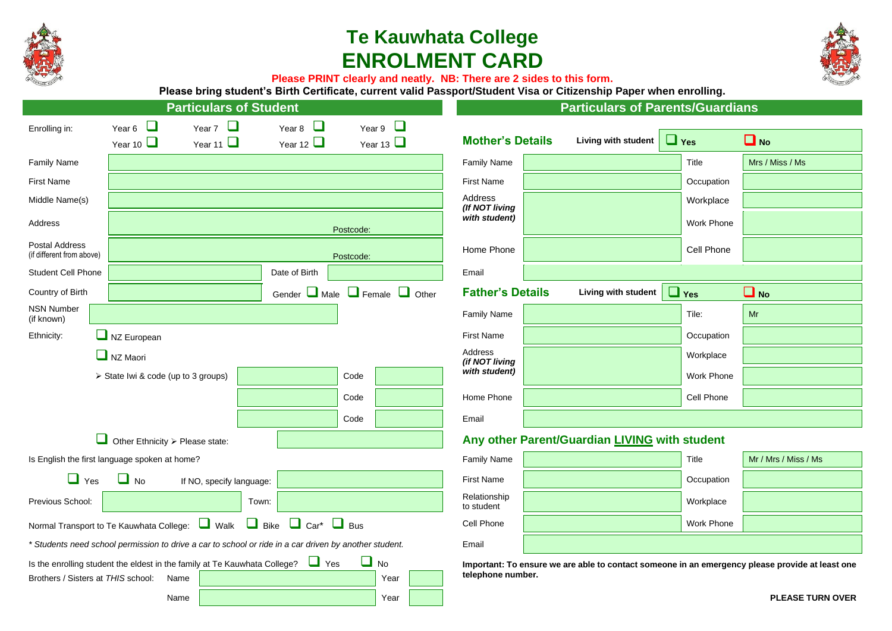

# **Te Kauwhata College ENROLMENT CARD**



**Please PRINT clearly and neatly. NB: There are 2 sides to this form.**

**Please bring student's Birth Certificate, current valid Passport/Student Visa or Citizenship Paper when enrolling.**

| <b>Particulars of Student</b>                                                                                                |                                               |                          |                                               |                |                                                                                                                      | <b>Particulars of Parents/Guardians</b> |                     |            |                         |  |  |
|------------------------------------------------------------------------------------------------------------------------------|-----------------------------------------------|--------------------------|-----------------------------------------------|----------------|----------------------------------------------------------------------------------------------------------------------|-----------------------------------------|---------------------|------------|-------------------------|--|--|
| Enrolling in:                                                                                                                | Year 6 $\Box$                                 | Year 7 $\Box$            | Year 8                                        | Year 9 $\Box$  |                                                                                                                      |                                         |                     |            |                         |  |  |
|                                                                                                                              | Year 10 $\Box$                                | Year 11 $\Box$           | Year 12 $\Box$                                | Year 13 $\Box$ |                                                                                                                      | <b>Mother's Details</b>                 | Living with student | $\Box$ Yes | $\Box$ No               |  |  |
| <b>Family Name</b>                                                                                                           |                                               |                          |                                               |                |                                                                                                                      | <b>Family Name</b>                      |                     | Title      | Mrs / Miss / Ms         |  |  |
| <b>First Name</b>                                                                                                            |                                               |                          |                                               |                |                                                                                                                      | <b>First Name</b>                       |                     | Occupation |                         |  |  |
| Middle Name(s)                                                                                                               |                                               |                          |                                               |                |                                                                                                                      | <b>Address</b><br>(If NOT living        |                     | Workplace  |                         |  |  |
| <b>Address</b>                                                                                                               |                                               |                          |                                               | Postcode:      |                                                                                                                      | with student)                           |                     | Work Phone |                         |  |  |
| <b>Postal Address</b><br>(if different from above)                                                                           |                                               |                          |                                               | Postcode:      |                                                                                                                      | Home Phone                              |                     | Cell Phone |                         |  |  |
| Student Cell Phone                                                                                                           |                                               |                          | Date of Birth                                 |                |                                                                                                                      | Email                                   |                     |            |                         |  |  |
| Country of Birth                                                                                                             |                                               |                          | Gender $\Box$ Male $\Box$ Female $\Box$ Other |                |                                                                                                                      | <b>Father's Details</b>                 | Living with student | $\Box$ Yes | $\Box$ No               |  |  |
| <b>NSN Number</b><br>(if known)                                                                                              |                                               |                          |                                               |                |                                                                                                                      | <b>Family Name</b>                      |                     | Tile:      | Mr                      |  |  |
| Ethnicity:                                                                                                                   | $\Box$ NZ European                            |                          |                                               |                |                                                                                                                      | <b>First Name</b>                       |                     | Occupation |                         |  |  |
|                                                                                                                              | $\Box$ NZ Maori                               |                          |                                               |                |                                                                                                                      | Address<br>(if NOT living               |                     | Workplace  |                         |  |  |
|                                                                                                                              | > State Iwi & code (up to 3 groups)           |                          |                                               | Code           |                                                                                                                      | with student)                           |                     | Work Phone |                         |  |  |
|                                                                                                                              |                                               |                          |                                               | Code           |                                                                                                                      | Home Phone                              |                     | Cell Phone |                         |  |  |
|                                                                                                                              |                                               |                          |                                               | Code           |                                                                                                                      | Email                                   |                     |            |                         |  |  |
| Other Ethnicity $\triangleright$ Please state:                                                                               |                                               |                          |                                               |                | Any other Parent/Guardian LIVING with student                                                                        |                                         |                     |            |                         |  |  |
|                                                                                                                              | Is English the first language spoken at home? |                          |                                               |                |                                                                                                                      | <b>Family Name</b>                      |                     | Title      | Mr / Mrs / Miss / Ms    |  |  |
| $\Box$ Yes                                                                                                                   | $\Box$ No                                     | If NO, specify language: |                                               |                |                                                                                                                      | <b>First Name</b>                       |                     | Occupation |                         |  |  |
| Previous School:                                                                                                             |                                               | Town:                    |                                               |                |                                                                                                                      | Relationship<br>to student              |                     | Workplace  |                         |  |  |
| Normal Transport to Te Kauwhata College: Walk Bike Car* Bus                                                                  |                                               |                          |                                               |                | Cell Phone                                                                                                           |                                         | Work Phone          |            |                         |  |  |
| * Students need school permission to drive a car to school or ride in a car driven by another student.                       |                                               |                          |                                               |                | Email                                                                                                                |                                         |                     |            |                         |  |  |
| Is the enrolling student the eldest in the family at Te Kauwhata College?<br>$\Box$ No<br>Brothers / Sisters at THIS school: |                                               |                          |                                               |                | Important: To ensure we are able to contact someone in an emergency please provide at least one<br>telephone number. |                                         |                     |            |                         |  |  |
|                                                                                                                              | Name<br>Name                                  |                          |                                               | Year<br>Year   |                                                                                                                      |                                         |                     |            | <b>PLEASE TURN OVER</b> |  |  |